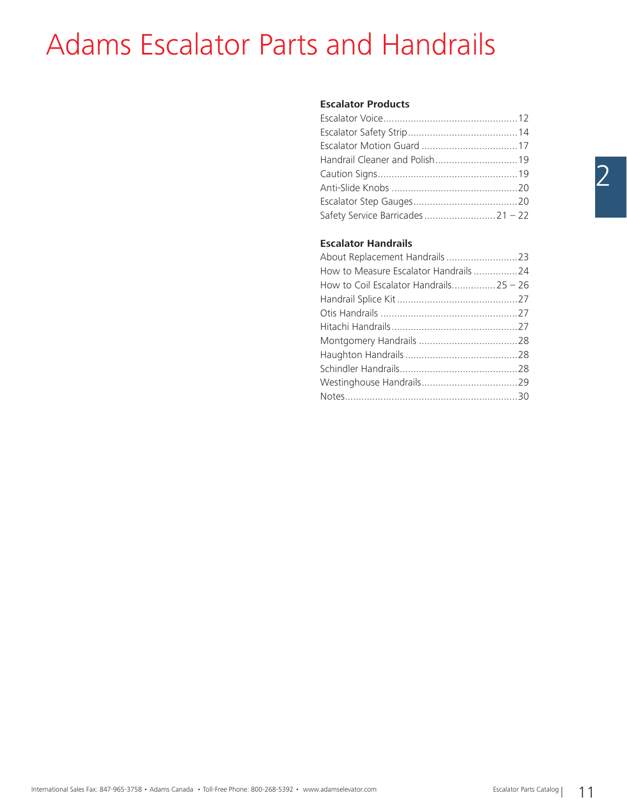## Adams Escalator Parts and Handrails

### **Escalator Products**

### **Escalator Handrails**

| About Replacement Handrails 23         |  |
|----------------------------------------|--|
| How to Measure Escalator Handrails 24  |  |
| How to Coil Escalator Handrails25 – 26 |  |
|                                        |  |
|                                        |  |
|                                        |  |
|                                        |  |
|                                        |  |
|                                        |  |
|                                        |  |
|                                        |  |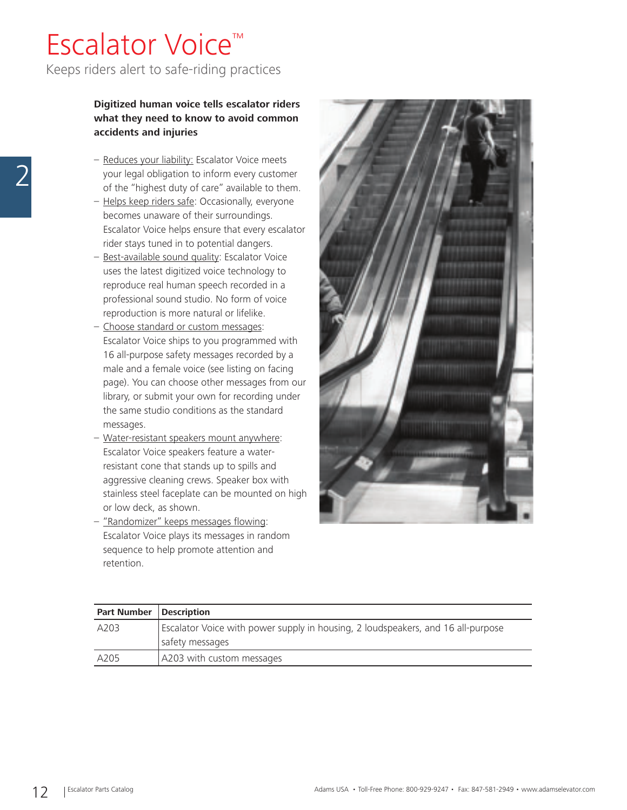### Escalator Voice™ Keeps riders alert to safe-riding practices

### **Digitized human voice tells escalator riders what they need to know to avoid common accidents and injuries**

- Reduces your liability: Escalator Voice meets your legal obligation to inform every customer of the "highest duty of care" available to them.
- Helps keep riders safe: Occasionally, everyone becomes unaware of their surroundings. Escalator Voice helps ensure that every escalator rider stays tuned in to potential dangers.
- Best-available sound quality: Escalator Voice uses the latest digitized voice technology to reproduce real human speech recorded in a professional sound studio. No form of voice reproduction is more natural or lifelike.
- Choose standard or custom messages: Escalator Voice ships to you programmed with 16 all-purpose safety messages recorded by a male and a female voice (see listing on facing page). You can choose other messages from our library, or submit your own for recording under the same studio conditions as the standard messages.
- Water-resistant speakers mount anywhere: Escalator Voice speakers feature a waterresistant cone that stands up to spills and aggressive cleaning crews. Speaker box with stainless steel faceplate can be mounted on high or low deck, as shown.
- "Randomizer" keeps messages flowing: Escalator Voice plays its messages in random sequence to help promote attention and retention.



| <b>Part Number</b> | <b>Description</b>                                                                                  |
|--------------------|-----------------------------------------------------------------------------------------------------|
| A203               | Escalator Voice with power supply in housing, 2 loudspeakers, and 16 all-purpose<br>safety messages |
| A205               | A203 with custom messages                                                                           |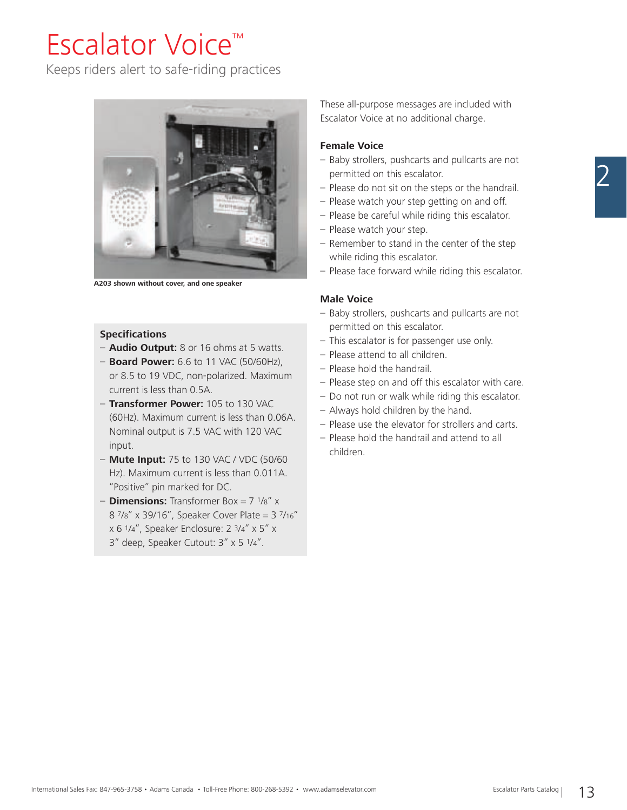### Escalator Voice™

Keeps riders alert to safe-riding practices



**A203 shown without cover, and one speaker**

### **Specifications**

- **Audio Output:** 8 or 16 ohms at 5 watts.
- **Board Power:** 6.6 to 11 VAC (50/60Hz), or 8.5 to 19 VDC, non-polarized. Maximum current is less than 0.5A.
- **Transformer Power:** 105 to 130 VAC (60Hz). Maximum current is less than 0.06A. Nominal output is 7.5 VAC with 120 VAC input.
- **Mute Input:** 75 to 130 VAC / VDC (50/60 Hz). Maximum current is less than 0.011A. "Positive" pin marked for DC.
- **Dimensions:** Transformer Box = 7 1/8" x 8 7/8" x 39/16", Speaker Cover Plate = 3 7/16" x 6 1/4", Speaker Enclosure: 2 3/4" x 5" x 3" deep, Speaker Cutout: 3" x 5 1/4".

These all-purpose messages are included with Escalator Voice at no additional charge.

### **Female Voice**

- Baby strollers, pushcarts and pullcarts are not permitted on this escalator.
- Please do not sit on the steps or the handrail.
- Please watch your step getting on and off.
- Please be careful while riding this escalator.
- Please watch your step.
- Remember to stand in the center of the step while riding this escalator.
- Please face forward while riding this escalator.

#### **Male Voice**

- Baby strollers, pushcarts and pullcarts are not permitted on this escalator.
- This escalator is for passenger use only.
- Please attend to all children.
- Please hold the handrail.
- Please step on and off this escalator with care.
- Do not run or walk while riding this escalator.
- Always hold children by the hand.
- Please use the elevator for strollers and carts.
- Please hold the handrail and attend to all children.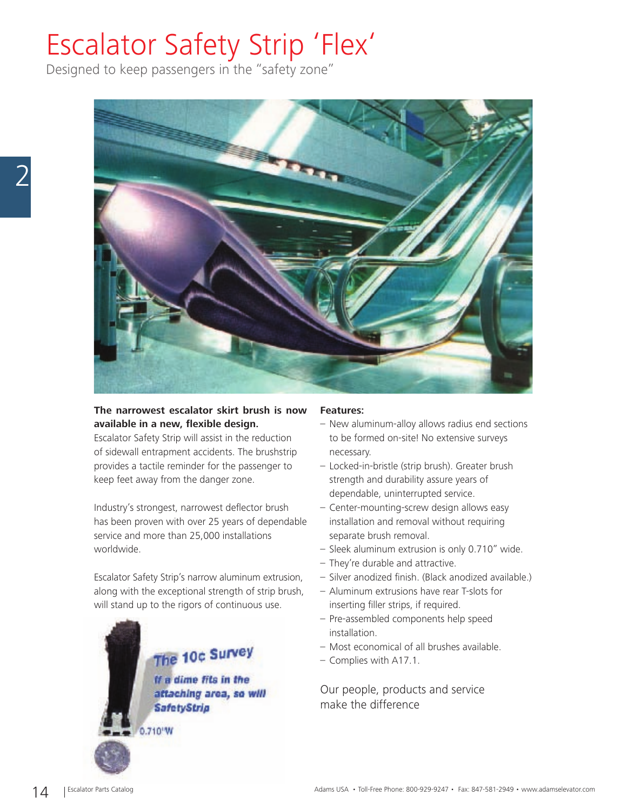## Escalator Safety Strip 'Flex'

Designed to keep passengers in the "safety zone"



### **The narrowest escalator skirt brush is now available in a new, flexible design.**

Escalator Safety Strip will assist in the reduction of sidewall entrapment accidents. The brushstrip provides a tactile reminder for the passenger to keep feet away from the danger zone.

Industry's strongest, narrowest deflector brush has been proven with over 25 years of dependable service and more than 25,000 installations worldwide.

Escalator Safety Strip's narrow aluminum extrusion, along with the exceptional strength of strip brush, will stand up to the rigors of continuous use.

### The 10c Survey If a dime fits in the attaching area, so will **SafetyStrip** 0.710 W

### **Features:**

- New aluminum-alloy allows radius end sections to be formed on-site! No extensive surveys necessary.
- Locked-in-bristle (strip brush). Greater brush strength and durability assure years of dependable, uninterrupted service.
- Center-mounting-screw design allows easy installation and removal without requiring separate brush removal.
- Sleek aluminum extrusion is only 0.710" wide.
- They're durable and attractive.
- Silver anodized finish. (Black anodized available.)
- Aluminum extrusions have rear T-slots for inserting filler strips, if required.
- Pre-assembled components help speed installation.
- Most economical of all brushes available.
- Complies with A17.1.

Our people, products and service make the difference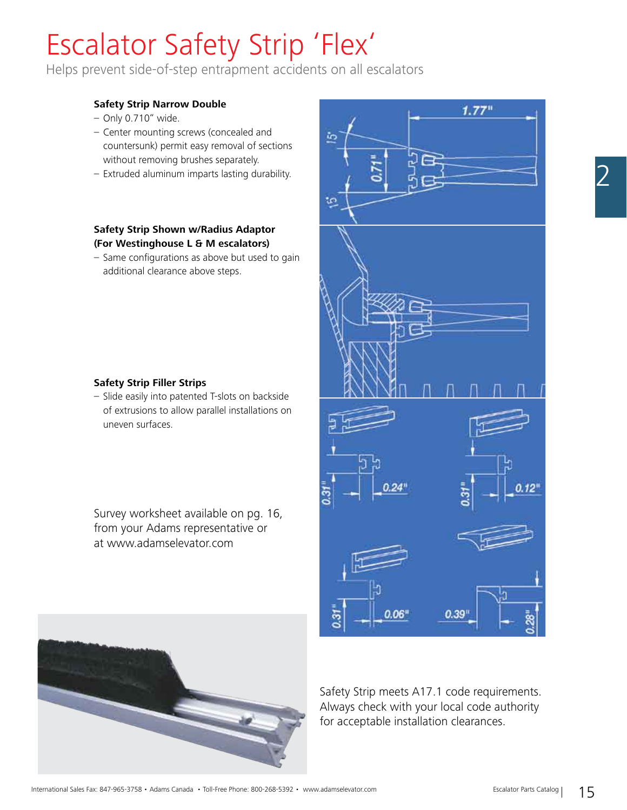## Escalator Safety Strip 'Flex'

Helps prevent side-of-step entrapment accidents on all escalators

### **Safety Strip Narrow Double**

- Only 0.710" wide.
- Center mounting screws (concealed and countersunk) permit easy removal of sections without removing brushes separately.
- Extruded aluminum imparts lasting durability.

### **Safety Strip Shown w/Radius Adaptor (For Westinghouse L & M escalators)**

– Same configurations as above but used to gain additional clearance above steps.

### **Safety Strip Filler Strips**

– Slide easily into patented T-slots on backside of extrusions to allow parallel installations on uneven surfaces.

Survey worksheet available on pg. 16, from your Adams representative or at www.adamselevator.com





Safety Strip meets A17.1 code requirements. Always check with your local code authority for acceptable installation clearances.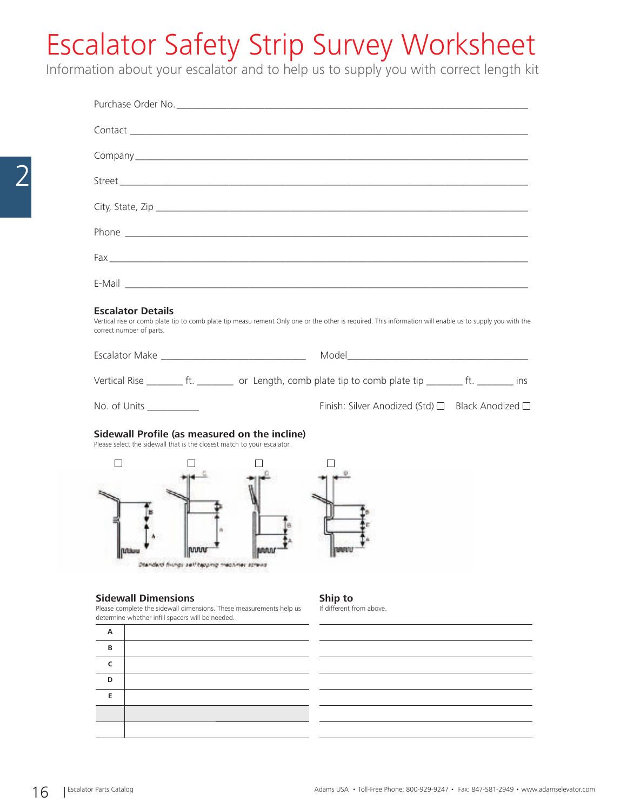## Escalator Safety Strip Survey Worksheet

Information about your escalator and to help us to supply you with correct length kit

|                                                                                                                                                            |                             |                                               | E-Mail <b>contract and contract and contract and contract and contract and contract and contract and contract and contract and contract and contract and contract and contract and contract and contract and contract and contra</b> |  |
|------------------------------------------------------------------------------------------------------------------------------------------------------------|-----------------------------|-----------------------------------------------|--------------------------------------------------------------------------------------------------------------------------------------------------------------------------------------------------------------------------------------|--|
| <b>Escalator Details</b><br>correct number of parts.                                                                                                       |                             |                                               | Vertical rise or comb plate tip to comb plate tip measu rement Only one or the other is required. This information will enable us to supply you with the                                                                             |  |
|                                                                                                                                                            |                             |                                               |                                                                                                                                                                                                                                      |  |
|                                                                                                                                                            |                             |                                               | Vertical Rise __________ ft. ___________ or Length, comb plate tip to comb plate tip _________ ft. ________ ins                                                                                                                      |  |
| No. of Units ___________                                                                                                                                   |                             |                                               | Finish: Silver Anodized (Std) □ Black Anodized □                                                                                                                                                                                     |  |
| Please select the sidewall that is the closest match to your escalator.                                                                                    |                             | Sidewall Profile (as measured on the incline) |                                                                                                                                                                                                                                      |  |
|                                                                                                                                                            | Эмпакт пила: зөһ сқолға төс |                                               |                                                                                                                                                                                                                                      |  |
| <b>Sidewall Dimensions</b><br>Please complete the sidewall dimensions. These measurements help us<br>determine whether infill spacers will be needed.<br>А |                             |                                               | Ship to<br>If different from above.                                                                                                                                                                                                  |  |
| В                                                                                                                                                          |                             |                                               |                                                                                                                                                                                                                                      |  |
| c                                                                                                                                                          |                             |                                               |                                                                                                                                                                                                                                      |  |
| D<br>Е                                                                                                                                                     |                             |                                               |                                                                                                                                                                                                                                      |  |
|                                                                                                                                                            |                             |                                               |                                                                                                                                                                                                                                      |  |
|                                                                                                                                                            |                             |                                               |                                                                                                                                                                                                                                      |  |
|                                                                                                                                                            |                             |                                               |                                                                                                                                                                                                                                      |  |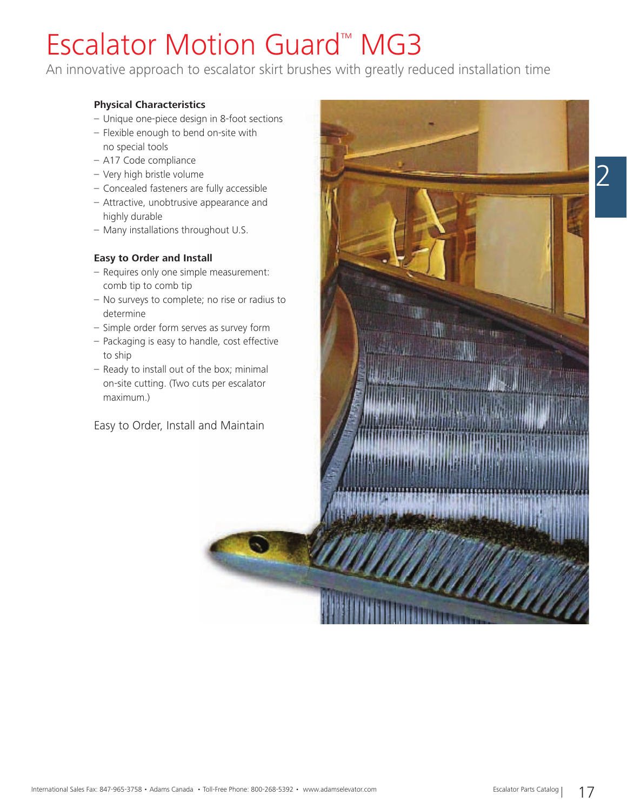## Escalator Motion Guard™ MG3

An innovative approach to escalator skirt brushes with greatly reduced installation time

### **Physical Characteristics**

- Unique one-piece design in 8-foot sections
- Flexible enough to bend on-site with no special tools
- A17 Code compliance
- Very high bristle volume
- Concealed fasteners are fully accessible
- Attractive, unobtrusive appearance and highly durable
- Many installations throughout U.S.

### **Easy to Order and Install**

- Requires only one simple measurement: comb tip to comb tip
- No surveys to complete; no rise or radius to determine
- Simple order form serves as survey form
- Packaging is easy to handle, cost effective to ship
- Ready to install out of the box; minimal on-site cutting. (Two cuts per escalator maximum.)

Easy to Order, Install and Maintain

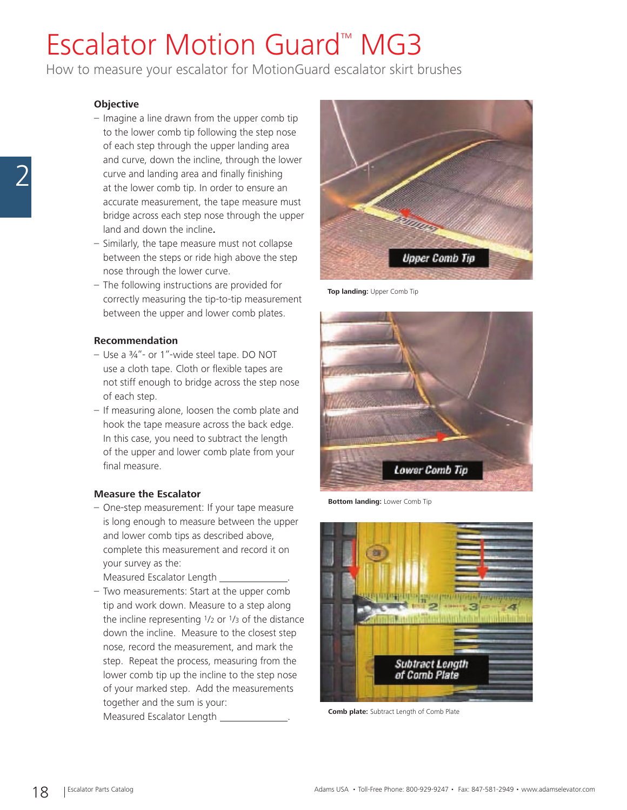## Escalator Motion Guard™ MG3

How to measure your escalator for MotionGuard escalator skirt brushes

#### **Objective**

- Imagine a line drawn from the upper comb tip to the lower comb tip following the step nose of each step through the upper landing area and curve, down the incline, through the lower curve and landing area and finally finishing at the lower comb tip. In order to ensure an accurate measurement, the tape measure must bridge across each step nose through the upper land and down the incline**.**
- Similarly, the tape measure must not collapse between the steps or ride high above the step nose through the lower curve.
- The following instructions are provided for correctly measuring the tip-to-tip measurement between the upper and lower comb plates.

#### **Recommendation**

- Use a ¾"- or 1"-wide steel tape. DO NOT use a cloth tape. Cloth or flexible tapes are not stiff enough to bridge across the step nose of each step.
- If measuring alone, loosen the comb plate and hook the tape measure across the back edge. In this case, you need to subtract the length of the upper and lower comb plate from your final measure.

### **Measure the Escalator**

- One-step measurement: If your tape measure is long enough to measure between the upper and lower comb tips as described above, complete this measurement and record it on your survey as the:
	- Measured Escalator Length .
- Two measurements: Start at the upper comb tip and work down. Measure to a step along the incline representing 1/2 or 1/3 of the distance down the incline. Measure to the closest step nose, record the measurement, and mark the step. Repeat the process, measuring from the lower comb tip up the incline to the step nose of your marked step. Add the measurements together and the sum is your: **Comb plate:** Subtract Length of Comb Plate Measured Escalator Length  $\frac{1}{2}$



**Top landing:** Upper Comb Tip



**Bottom landing:** Lower Comb Tip

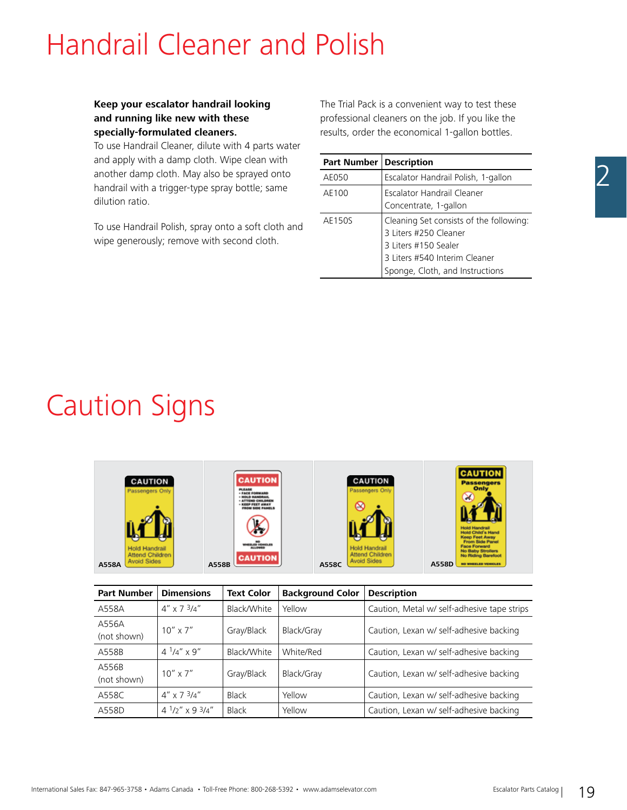### Handrail Cleaner and Polish

### **Keep your escalator handrail looking and running like new with these specially-formulated cleaners.**

To use Handrail Cleaner, dilute with 4 parts water and apply with a damp cloth. Wipe clean with another damp cloth. May also be sprayed onto handrail with a trigger-type spray bottle; same dilution ratio.

To use Handrail Polish, spray onto a soft cloth and wipe generously; remove with second cloth.

The Trial Pack is a convenient way to test these professional cleaners on the job. If you like the results, order the economical 1-gallon bottles.

| <b>Part Number   Description</b> |                                                                                          |
|----------------------------------|------------------------------------------------------------------------------------------|
| AE050                            | Escalator Handrail Polish, 1-gallon                                                      |
| AE100                            | Escalator Handrail Cleaner                                                               |
|                                  | Concentrate, 1-gallon                                                                    |
| AE150S                           | Cleaning Set consists of the following:<br>3 Liters #250 Cleaner<br>3 Liters #150 Sealer |
|                                  | 3 Liters #540 Interim Cleaner                                                            |
|                                  | Sponge, Cloth, and Instructions                                                          |

### Caution Signs

| <b>CAUTION</b><br>Passengers Only                               | <b>CAUTION</b><br>PLEASE<br>- FACE FORWARD<br>· NOT O MANDELLE<br><b>ATTEMP CHILDREN</b><br><b>KEEP FEET AWAY</b><br>FROM SIDE PANELS<br><b>HELED VEHICLES</b> | CAUTION<br>Passengers Only<br>O                                               | <b>CAUTION</b><br><b>Passengers</b><br>Only<br>C.<br><b>Hold Handrail</b><br><b>Hold Child's Hand</b><br><b>Keep Feet Away</b><br><b>From Side Panel</b><br><b>Face Forward</b> |
|-----------------------------------------------------------------|----------------------------------------------------------------------------------------------------------------------------------------------------------------|-------------------------------------------------------------------------------|---------------------------------------------------------------------------------------------------------------------------------------------------------------------------------|
| <b>Hold Handrail</b><br>Attend Children<br>Avoid Sides<br>A558A | <b>CAUTION</b><br>A558B                                                                                                                                        | <b>Hold Handrail</b><br><b>Attend Children</b><br><b>Avoid Sides</b><br>A558C | <b>No Baby Strollers</b><br><b>No Riding Barefoot</b><br>A558D<br><b>NO WHEELED VEHICLES</b>                                                                                    |

| <b>Part Number</b>   | <b>Dimensions</b>     | <b>Text Color</b> | <b>Background Color</b> | <b>Description</b>                          |
|----------------------|-----------------------|-------------------|-------------------------|---------------------------------------------|
| A558A                | $4'' \times 734''$    | Black/White       | Yellow                  | Caution, Metal w/ self-adhesive tape strips |
| A556A<br>(not shown) | $10'' \times 7''$     | Gray/Black        | Black/Gray              | Caution, Lexan w/ self-adhesive backing     |
| A558B                | $4^{1}/4''$ x 9"      | Black/White       | White/Red               | Caution, Lexan w/ self-adhesive backing     |
| A556B<br>(not shown) | $10'' \times 7''$     | Gray/Black        | Black/Gray              | Caution, Lexan w/ self-adhesive backing     |
| A558C                | $4'' \times 734''$    | Black             | Yellow                  | Caution, Lexan w/ self-adhesive backing     |
| A558D                | $4^{1/2}$ x 9 $3/4$ " | Black             | Yellow                  | Caution, Lexan w/ self-adhesive backing     |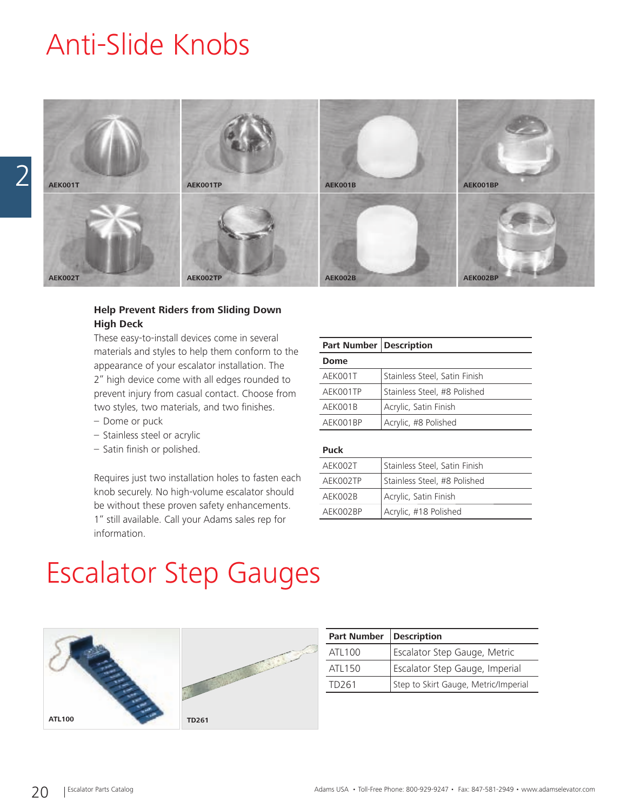### Anti-Slide Knobs



### **Help Prevent Riders from Sliding Down High Deck**

These easy-to-install devices come in several materials and styles to help them conform to the appearance of your escalator installation. The 2" high device come with all edges rounded to prevent injury from casual contact. Choose from two styles, two materials, and two finishes.

- Dome or puck
- Stainless steel or acrylic
- $-$  Satin finish or polished.

Requires just two installation holes to fasten each knob securely. No high-volume escalator should be without these proven safety enhancements. 1" still available. Call your Adams sales rep for information.

| <b>Part Number   Description</b> |                               |
|----------------------------------|-------------------------------|
| Dome                             |                               |
| AEK001T                          | Stainless Steel, Satin Finish |
| AEK001TP                         | Stainless Steel, #8 Polished  |
| AEK001B                          | Acrylic, Satin Finish         |
| AFK001BP                         | Acrylic, #8 Polished          |

#### **Puck**

| AEK002T  | Stainless Steel, Satin Finish |
|----------|-------------------------------|
| AFK002TP | Stainless Steel, #8 Polished  |
| AEK002B  | Acrylic, Satin Finish         |
| AFK002BP | Acrylic, #18 Polished         |

### Escalator Step Gauges



| <b>Part Number</b> | <b>Description</b>                   |
|--------------------|--------------------------------------|
| ATI 100            | Escalator Step Gauge, Metric         |
| ATI 150            | Escalator Step Gauge, Imperial       |
| TD <sub>261</sub>  | Step to Skirt Gauge, Metric/Imperial |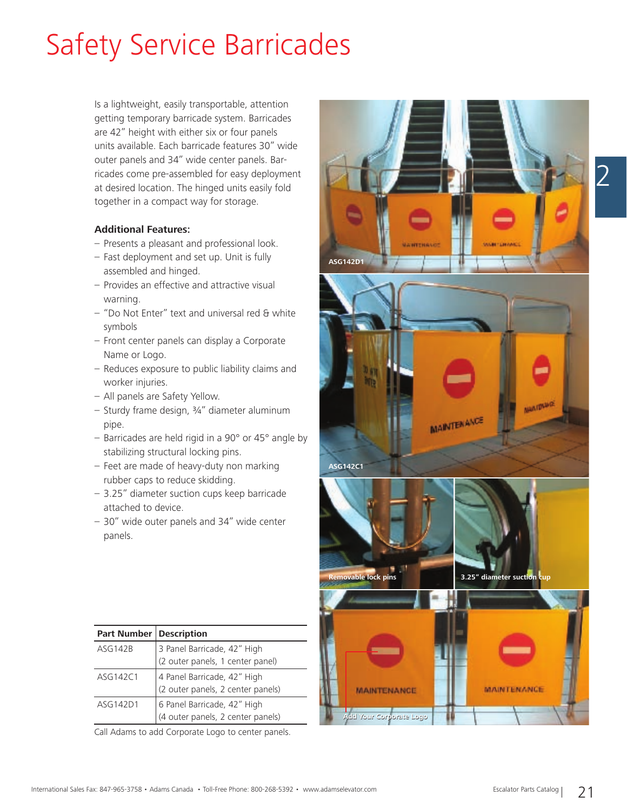## Safety Service Barricades

Is a lightweight, easily transportable, attention getting temporary barricade system. Barricades are 42" height with either six or four panels units available. Each barricade features 30" wide outer panels and 34" wide center panels. Barricades come pre-assembled for easy deployment at desired location. The hinged units easily fold together in a compact way for storage.

### **Additional Features:**

- Presents a pleasant and professional look.
- Fast deployment and set up. Unit is fully assembled and hinged.
- Provides an effective and attractive visual warning.
- "Do Not Enter" text and universal red & white symbols
- Front center panels can display a Corporate Name or Logo.
- Reduces exposure to public liability claims and worker injuries.
- All panels are Safety Yellow.
- Sturdy frame design, ¾" diameter aluminum pipe.
- Barricades are held rigid in a 90° or 45° angle by stabilizing structural locking pins.
- Feet are made of heavy-duty non marking rubber caps to reduce skidding.
- 3.25" diameter suction cups keep barricade attached to device.
- 30" wide outer panels and 34" wide center panels.

| <b>Part Number   Description</b> |                                   |
|----------------------------------|-----------------------------------|
| ASG142B                          | 3 Panel Barricade, 42" High       |
|                                  | (2 outer panels, 1 center panel)  |
| ASG142C1                         | 4 Panel Barricade, 42" High       |
|                                  | (2 outer panels, 2 center panels) |
| ASG142D1                         | 6 Panel Barricade, 42" High       |
|                                  | (4 outer panels, 2 center panels) |

Call Adams to add Corporate Logo to center panels.

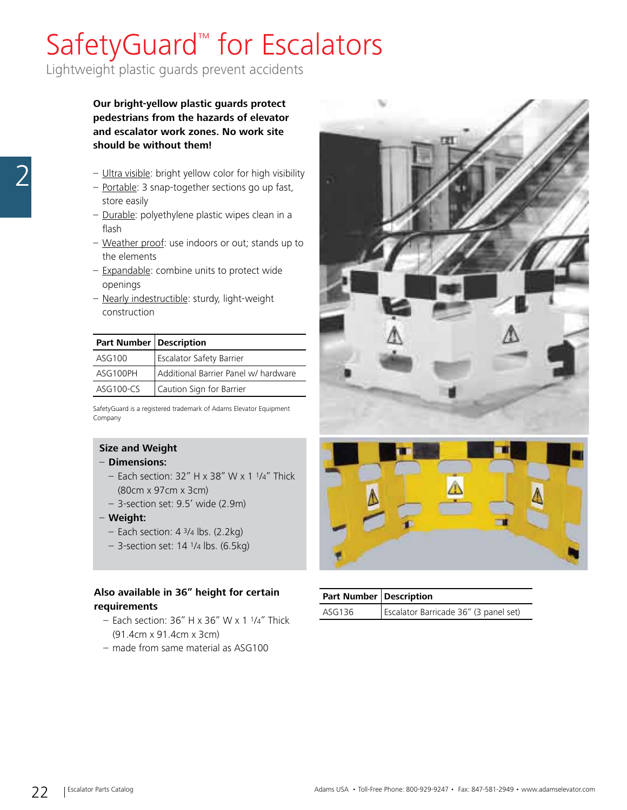## SafetyGuard<sup>™</sup> for Escalators

Lightweight plastic guards prevent accidents

**Our bright-yellow plastic guards protect pedestrians from the hazards of elevator and escalator work zones. No work site should be without them!**

- Ultra visible: bright yellow color for high visibility
- Portable: 3 snap-together sections go up fast, store easily
- Durable: polyethylene plastic wipes clean in a flash
- Weather proof: use indoors or out; stands up to the elements
- Expandable: combine units to protect wide openings
- Nearly indestructible: sturdy, light-weight construction

| Part Number   Description |                                      |
|---------------------------|--------------------------------------|
| ASG100                    | Escalator Safety Barrier             |
| ASG100PH                  | Additional Barrier Panel w/ hardware |
| ASG100-CS                 | Caution Sign for Barrier             |

SafetyGuard is a registered trademark of Adams Elevator Equipment Company

### **Size and Weight**

### – **Dimensions:**

- $-$  Each section: 32" H x 38" W x 1  $1/4$ " Thick (80cm x 97cm x 3cm)
- 3-section set: 9.5' wide (2.9m)
- **Weight:**
	- $-$  Each section: 4  $\frac{3}{4}$  lbs. (2.2kg)
	- 3-section set: 14 1/4 lbs. (6.5kg)

### **Also available in 36" height for certain requirements**

- Each section:  $36''$  H x  $36''$  W x 1  $1/4''$  Thick (91.4cm x 91.4cm x 3cm)
- made from same material as ASG100



| Part Number   Description |                                       |
|---------------------------|---------------------------------------|
| ASG136                    | Escalator Barricade 36" (3 panel set) |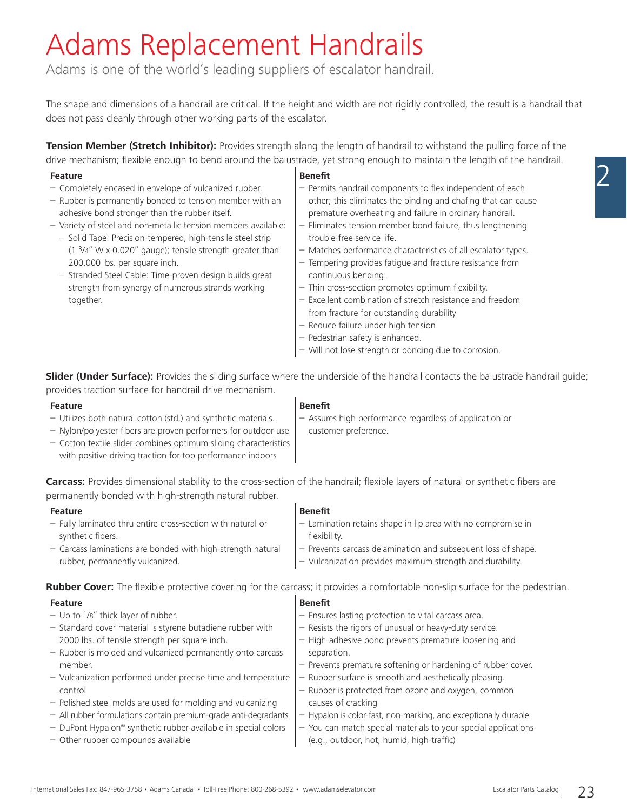## Adams Replacement Handrails

Adams is one of the world's leading suppliers of escalator handrail.

The shape and dimensions of a handrail are critical. If the height and width are not rigidly controlled, the result is a handrail that does not pass cleanly through other working parts of the escalator.

**Tension Member (Stretch Inhibitor):** Provides strength along the length of handrail to withstand the pulling force of the drive mechanism; flexible enough to bend around the balustrade, yet strong enough to maintain the length of the handrail.

#### **Feature**

- Completely encased in envelope of vulcanized rubber.
- Rubber is permanently bonded to tension member with an adhesive bond stronger than the rubber itself.
- Variety of steel and non-metallic tension members available:
	- Solid Tape: Precision-tempered, high-tensile steel strip (1 3/4" W x 0.020" gauge); tensile strength greater than 200,000 lbs. per square inch.
	- Stranded Steel Cable: Time-proven design builds great strength from synergy of numerous strands working together.

#### **Benefit**

- $-$  Permits handrail components to flex independent of each other; this eliminates the binding and chafing that can cause premature overheating and failure in ordinary handrail.
- Eliminates tension member bond failure, thus lengthening trouble-free service life.
- Matches performance characteristics of all escalator types.
- Tempering provides fatigue and fracture resistance from continuous bending.
- $-$  Thin cross-section promotes optimum flexibility.
- Excellent combination of stretch resistance and freedom from fracture for outstanding durability

– Lamination retains shape in lip area with no compromise in

 – Prevents carcass delamination and subsequent loss of shape. – Vulcanization provides maximum strength and durability.

- Reduce failure under high tension
- Pedestrian safety is enhanced.
- Will not lose strength or bonding due to corrosion.

**Slider (Under Surface):** Provides the sliding surface where the underside of the handrail contacts the balustrade handrail guide; provides traction surface for handrail drive mechanism.

#### **Feature**

– Utilizes both natural cotton (std.) and synthetic materials.

### **Benefit**

- Assures high performance regardless of application or customer preference.
- Nylon/polyester fibers are proven performers for outdoor use – Cotton textile slider combines optimum sliding characteristics with positive driving traction for top performance indoors

**Carcass:** Provides dimensional stability to the cross-section of the handrail; flexible layers of natural or synthetic fibers are permanently bonded with high-strength natural rubber.

**Benefit** 

flexibility.

#### **Feature**

- Fully laminated thru entire cross-section with natural or synthetic fibers.
- Carcass laminations are bonded with high-strength natural rubber, permanently vulcanized.

**Rubber Cover:** The flexible protective covering for the carcass; it provides a comfortable non-slip surface for the pedestrian.

| <b>Feature</b>                                                  | <b>Benefit</b>                                                  |
|-----------------------------------------------------------------|-----------------------------------------------------------------|
| $-$ Up to $1/8$ " thick layer of rubber.                        | $-$ Ensures lasting protection to vital carcass area.           |
| - Standard cover material is styrene butadiene rubber with      | - Resists the rigors of unusual or heavy-duty service.          |
| 2000 lbs. of tensile strength per square inch.                  | - High-adhesive bond prevents premature loosening and           |
| - Rubber is molded and vulcanized permanently onto carcass      | separation.                                                     |
| member.                                                         | - Prevents premature softening or hardening of rubber cover.    |
| - Vulcanization performed under precise time and temperature    | - Rubber surface is smooth and aesthetically pleasing.          |
| control                                                         | - Rubber is protected from ozone and oxygen, common             |
| - Polished steel molds are used for molding and vulcanizing     | causes of cracking                                              |
| - All rubber formulations contain premium-grade anti-degradants | - Hypalon is color-fast, non-marking, and exceptionally durable |
| - DuPont Hypalon® synthetic rubber available in special colors  | - You can match special materials to your special applications  |
| - Other rubber compounds available                              | (e.g., outdoor, hot, humid, high-traffic)                       |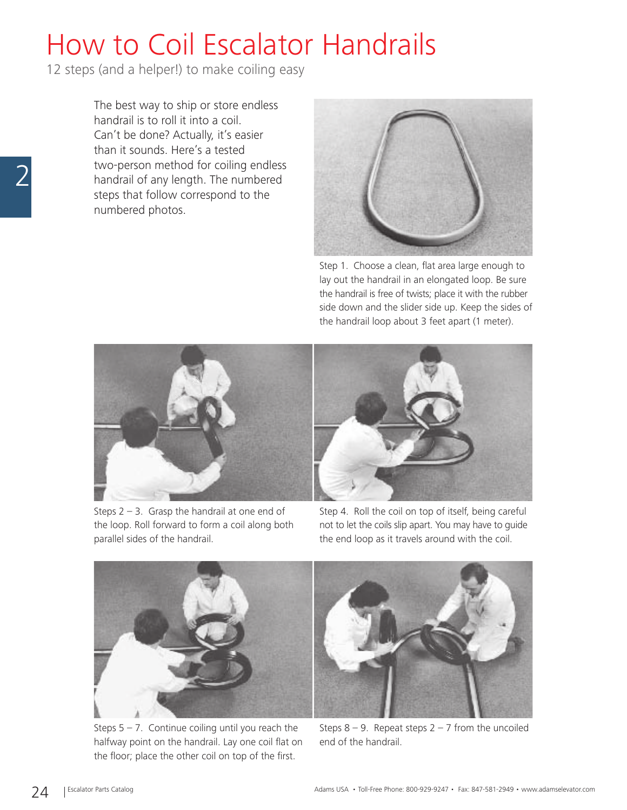## How to Coil Escalator Handrails

12 steps (and a helper!) to make coiling easy

The best way to ship or store endless handrail is to roll it into a coil. Can't be done? Actually, it's easier than it sounds. Here's a tested two-person method for coiling endless handrail of any length. The numbered steps that follow correspond to the numbered photos.



Step 1. Choose a clean, flat area large enough to lay out the handrail in an elongated loop. Be sure the handrail is free of twists; place it with the rubber side down and the slider side up. Keep the sides of the handrail loop about 3 feet apart (1 meter).



Steps  $2 - 3$ . Grasp the handrail at one end of the loop. Roll forward to form a coil along both parallel sides of the handrail.

Step 4. Roll the coil on top of itself, being careful not to let the coils slip apart. You may have to guide the end loop as it travels around with the coil.



Steps  $5 - 7$ . Continue coiling until you reach the halfway point on the handrail. Lay one coil flat on the floor; place the other coil on top of the first.

Steps  $8 - 9$ . Repeat steps  $2 - 7$  from the uncoiled end of the handrail.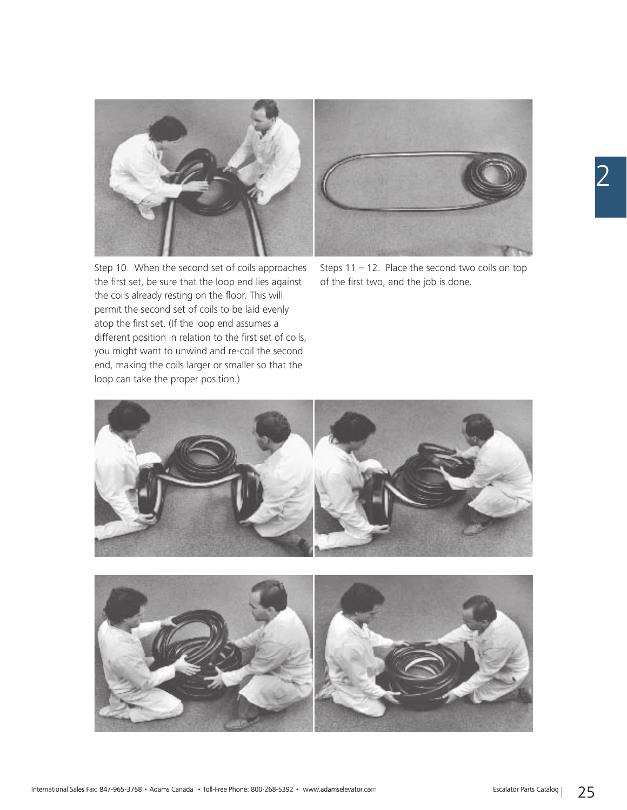



Step 10. When the second set of coils approaches the first set, be sure that the loop end lies against the coils already resting on the floor. This will permit the second set of coils to be laid evenly atop the first set. (If the loop end assumes a different position in relation to the first set of coils, you might want to unwind and re-coil the second end, making the coils larger or smaller so that the loop can take the proper position.)

Steps  $11 - 12$ . Place the second two coils on top of the first two, and the job is done.

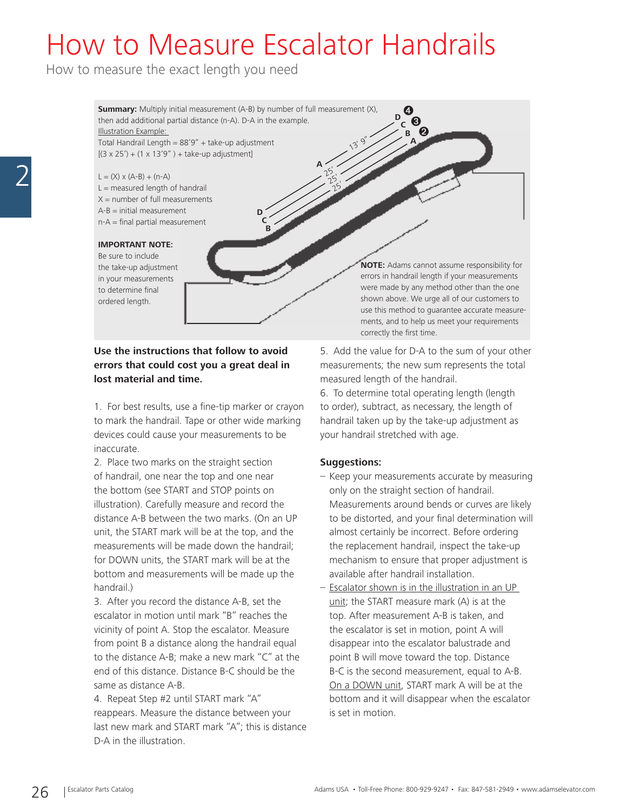### How to Measure Escalator Handrails

**A**

 $25'$  $25'$  $\tilde{2}$ 

How to measure the exact length you need

**Summary:** Multiply initial measurement (A-B) by number of full measurement (X), then add additional partial distance (n-A). D-A in the example. Illustration Example:  $\alpha$ 

> **D C**

**B**

Total Handrail Length =  $88'9''$  + take-up adjustment  $[(3 \times 25') + (1 \times 13'9'') +$  take-up adjustment]

 $L = (X) \times (A-B) + (n-A)$  $L =$  measured length of handrail  $X =$  number of full measurements  $A-B = initial measurement$ n-A = final partial measurement

#### **IMPORTANT NOTE:**

Be sure to include the take-up adjustment in your measurements to determine final ordered length.

**Use the instructions that follow to avoid errors that could cost you a great deal in lost material and time.**

1. For best results, use a fine-tip marker or crayon to mark the handrail. Tape or other wide marking devices could cause your measurements to be inaccurate.

2. Place two marks on the straight section of handrail, one near the top and one near the bottom (see START and STOP points on illustration). Carefully measure and record the distance A-B between the two marks. (On an UP unit, the START mark will be at the top, and the measurements will be made down the handrail; for DOWN units, the START mark will be at the bottom and measurements will be made up the handrail.)

3. After you record the distance A-B, set the escalator in motion until mark "B" reaches the vicinity of point A. Stop the escalator. Measure from point B a distance along the handrail equal to the distance A-B; make a new mark "C" at the end of this distance. Distance B-C should be the same as distance A-B.

4. Repeat Step #2 until START mark "A" reappears. Measure the distance between your last new mark and START mark "A"; this is distance D-A in the illustration.

**NOTE:** Adams cannot assume responsibility for errors in handrail length if your measurements were made by any method other than the one shown above. We urge all of our customers to use this method to guarantee accurate measurements, and to help us meet your requirements correctly the first time.

5. Add the value for D-A to the sum of your other measurements; the new sum represents the total measured length of the handrail.

**B A**

**<sup>D</sup>** ➌ ➋

➍

**C**

6. To determine total operating length (length to order), subtract, as necessary, the length of handrail taken up by the take-up adjustment as your handrail stretched with age.

### **Suggestions:**

- Keep your measurements accurate by measuring only on the straight section of handrail. Measurements around bends or curves are likely to be distorted, and your final determination will almost certainly be incorrect. Before ordering the replacement handrail, inspect the take-up mechanism to ensure that proper adjustment is available after handrail installation.
- Escalator shown is in the illustration in an UP unit; the START measure mark (A) is at the top. After measurement A-B is taken, and the escalator is set in motion, point A will disappear into the escalator balustrade and point B will move toward the top. Distance B-C is the second measurement, equal to A-B. On a DOWN unit, START mark A will be at the bottom and it will disappear when the escalator is set in motion.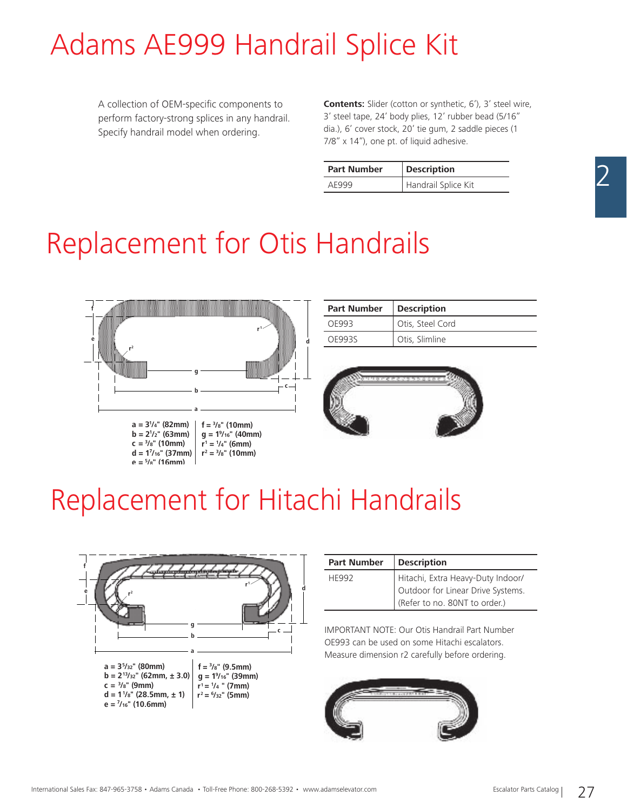## Adams AE999 Handrail Splice Kit

A collection of OEM-specific components to perform factory-strong splices in any handrail. Specify handrail model when ordering.

**Contents:** Slider (cotton or synthetic, 6'), 3' steel wire, 3' steel tape, 24' body plies, 12' rubber bead (5/16" dia.), 6' cover stock, 20' tie gum, 2 saddle pieces (1 7/8" x 14"), one pt. of liquid adhesive.

| <b>Part Number</b> | <b>Description</b>  |
|--------------------|---------------------|
| AF999              | Handrail Splice Kit |

## Replacement for Otis Handrails



| <b>Part Number</b> | <b>Description</b> |
|--------------------|--------------------|
| OF993              | Otis, Steel Cord   |
| OF9935             | Otis, Slimline     |



### Replacement for Hitachi Handrails



| <b>Part Number</b> | <b>Description</b>                |
|--------------------|-----------------------------------|
| <b>HF992</b>       | Hitachi, Extra Heavy-Duty Indoor/ |
|                    | Outdoor for Linear Drive Systems. |
|                    | (Refer to no. 80NT to order.)     |

IMPORTANT NOTE: Our Otis Handrail Part Number OE993 can be used on some Hitachi escalators. Measure dimension r2 carefully before ordering.

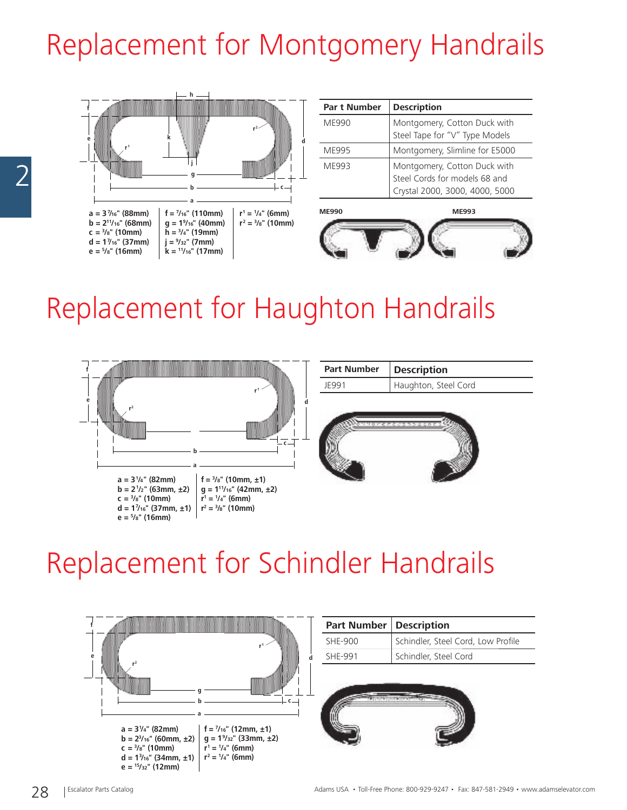# Replacement for Montgomery Handrails



### Replacement for Haughton Handrails



### Replacement for Schindler Handrails

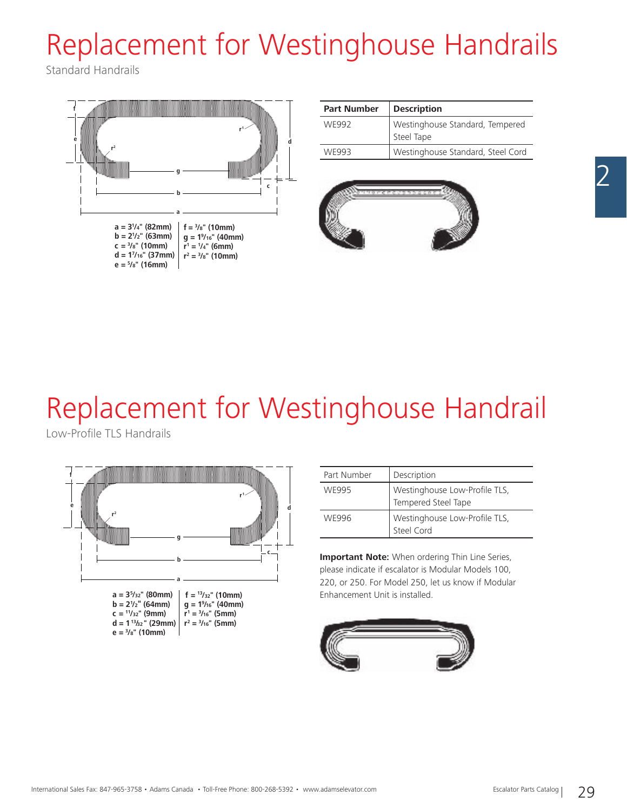# Replacement for Westinghouse Handrails

Standard Handrails



| <b>Part Number</b> | <b>Description</b>                            |
|--------------------|-----------------------------------------------|
| WF992              | Westinghouse Standard, Tempered<br>Steel Tape |
| WF993              | Westinghouse Standard, Steel Cord             |



## Replacement for Westinghouse Handrail

Low-Profile TLS Handrails



| Part Number | Description                                          |
|-------------|------------------------------------------------------|
| WF995       | Westinghouse Low-Profile TLS,<br>Tempered Steel Tape |
| WF996       | Westinghouse Low-Profile TLS,<br>Steel Cord          |

**Important Note:** When ordering Thin Line Series, please indicate if escalator is Modular Models 100, 220, or 250. For Model 250, let us know if Modular